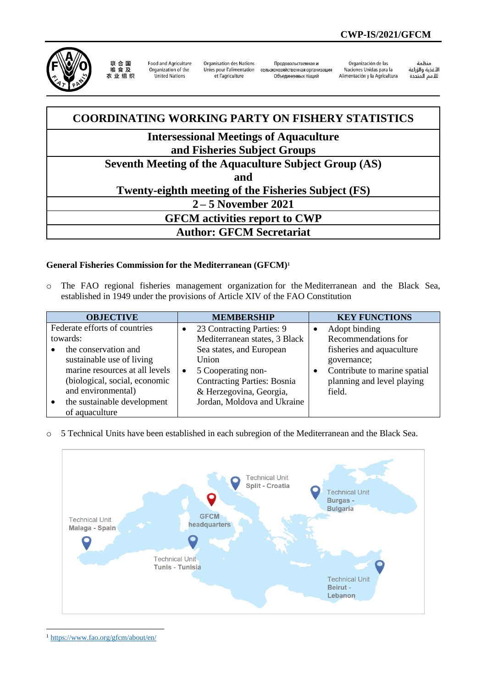

联 合 国<br>粮 食 及 农业组织

Food and Agriculture Organization of the United Nations

**Organisation des Nations** Unies nour l'alimentation сельскохозяйственная организация et l'agriculture

Продовольственная и Объединенных Наций

Organización de las Naciones Unidas para la Alimentación y la Agricultura

änhin سننس<br>الأغذية والزراعة<br>للأمم المتحدة

## **COORDINATING WORKING PARTY ON FISHERY STATISTICS Intersessional Meetings of Aquaculture and Fisheries Subject Groups Seventh Meeting of the Aquaculture Subject Group (AS) and Twenty-eighth meeting of the Fisheries Subject (FS) 2 – 5 November 2021 GFCM activities report to CWP Author: GFCM Secretariat**

## **General Fisheries Commission for the Mediterranean (GFCM)<sup>1</sup>**

o The FAO regional fisheries management organization for the Mediterranean and the Black Sea, established in 1949 under the provisions of Article XIV of the FAO Constitution

| <b>OBJECTIVE</b>               |           | <b>MEMBERSHIP</b>                  | <b>KEY FUNCTIONS</b>         |
|--------------------------------|-----------|------------------------------------|------------------------------|
| Federate efforts of countries  | $\bullet$ | 23 Contracting Parties: 9          | Adopt binding                |
| towards:                       |           | Mediterranean states, 3 Black      | Recommendations for          |
| the conservation and           |           | Sea states, and European           | fisheries and aquaculture    |
| sustainable use of living      |           | Union                              | governance;                  |
| marine resources at all levels | $\bullet$ | 5 Cooperating non-                 | Contribute to marine spatial |
| (biological, social, economic  |           | <b>Contracting Parties: Bosnia</b> | planning and level playing   |
| and environmental)             |           | & Herzegovina, Georgia,            | field.                       |
| the sustainable development    |           | Jordan, Moldova and Ukraine        |                              |
| of aquaculture                 |           |                                    |                              |

o 5 Technical Units have been established in each subregion of the Mediterranean and the Black Sea.



<sup>1</sup> <https://www.fao.org/gfcm/about/en/>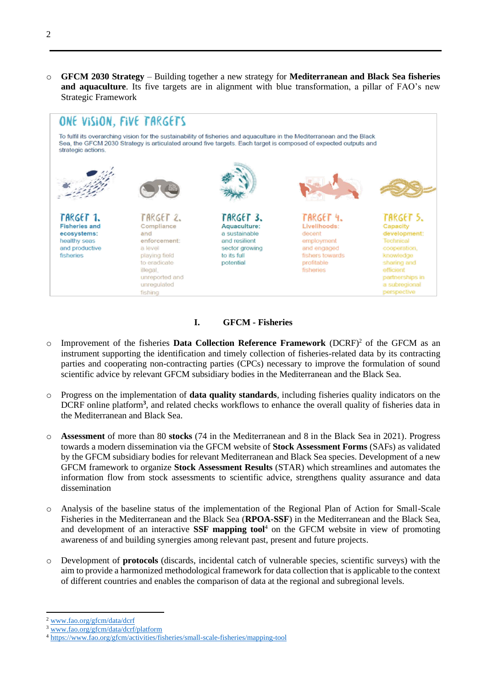o **GFCM 2030 Strategy** – Building together a new strategy for **Mediterranean and Black Sea fisheries and aquaculture**. Its five targets are in alignment with blue transformation, a pillar of FAO's new Strategic Framework



## **I. GFCM - Fisheries**

- $\circ$  Improvement of the fisheries **Data Collection Reference Framework** (DCRF)<sup>2</sup> of the GFCM as an instrument supporting the identification and timely collection of fisheries-related data by its contracting parties and cooperating non-contracting parties (CPCs) necessary to improve the formulation of sound scientific advice by relevant GFCM subsidiary bodies in the Mediterranean and the Black Sea.
- o Progress on the implementation of **data quality standards**, including fisheries quality indicators on the DCRF online platform**<sup>3</sup>** , and related checks workflows to enhance the overall quality of fisheries data in the Mediterranean and Black Sea.
- o **Assessment** of more than 80 **stocks** (74 in the Mediterranean and 8 in the Black Sea in 2021). Progress towards a modern dissemination via the GFCM website of **Stock Assessment Forms** (SAFs) as validated by the GFCM subsidiary bodies for relevant Mediterranean and Black Sea species. Development of a new GFCM framework to organize **Stock Assessment Results** (STAR) which streamlines and automates the information flow from stock assessments to scientific advice, strengthens quality assurance and data dissemination
- o Analysis of the baseline status of the implementation of the Regional Plan of Action for Small-Scale Fisheries in the Mediterranean and the Black Sea (**RPOA-SSF**) in the Mediterranean and the Black Sea, and development of an interactive **SSF mapping tool**<sup>4</sup> on the GFCM website in view of promoting awareness of and building synergies among relevant past, present and future projects.
- o Development of **protocols** (discards, incidental catch of vulnerable species, scientific surveys) with the aim to provide a harmonized methodological framework for data collection that is applicable to the context of different countries and enables the comparison of data at the regional and subregional levels.

<sup>2</sup> [www.fao.org/gfcm/data/dcrf](http://www.fao.org/gfcm/data/dcrf)

<sup>3</sup> [www.fao.org/gfcm/data/dcrf/platform](http://www.fao.org/gfcm/data/dcrf/platform)

<sup>4</sup> <https://www.fao.org/gfcm/activities/fisheries/small-scale-fisheries/mapping-tool>